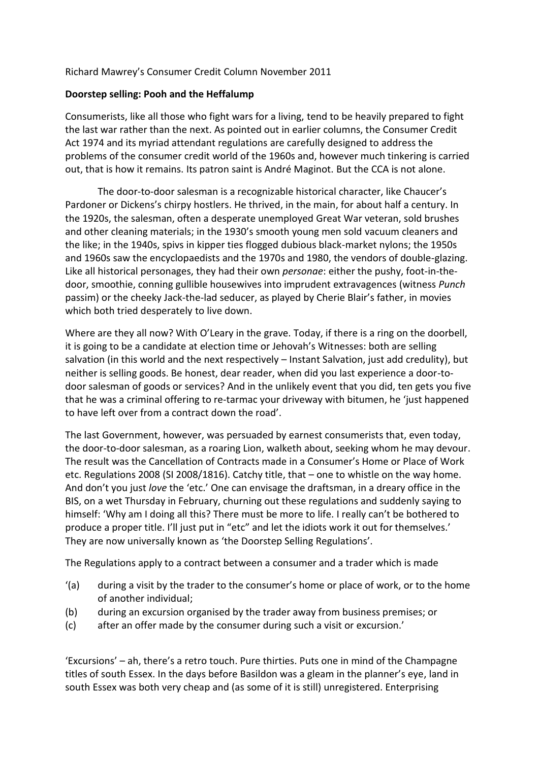## Richard Mawrey's Consumer Credit Column November 2011

## **Doorstep selling: Pooh and the Heffalump**

Consumerists, like all those who fight wars for a living, tend to be heavily prepared to fight the last war rather than the next. As pointed out in earlier columns, the Consumer Credit Act 1974 and its myriad attendant regulations are carefully designed to address the problems of the consumer credit world of the 1960s and, however much tinkering is carried out, that is how it remains. Its patron saint is André Maginot. But the CCA is not alone.

The door-to-door salesman is a recognizable historical character, like Chaucer's Pardoner or Dickens's chirpy hostlers. He thrived, in the main, for about half a century. In the 1920s, the salesman, often a desperate unemployed Great War veteran, sold brushes and other cleaning materials; in the 1930's smooth young men sold vacuum cleaners and the like; in the 1940s, spivs in kipper ties flogged dubious black-market nylons; the 1950s and 1960s saw the encyclopaedists and the 1970s and 1980, the vendors of double-glazing. Like all historical personages, they had their own *personae*: either the pushy, foot-in-thedoor, smoothie, conning gullible housewives into imprudent extravagences (witness *Punch* passim) or the cheeky Jack-the-lad seducer, as played by Cherie Blair's father, in movies which both tried desperately to live down.

Where are they all now? With O'Leary in the grave. Today, if there is a ring on the doorbell, it is going to be a candidate at election time or Jehovah's Witnesses: both are selling salvation (in this world and the next respectively – Instant Salvation, just add credulity), but neither is selling goods. Be honest, dear reader, when did you last experience a door-todoor salesman of goods or services? And in the unlikely event that you did, ten gets you five that he was a criminal offering to re-tarmac your driveway with bitumen, he 'just happened to have left over from a contract down the road'.

The last Government, however, was persuaded by earnest consumerists that, even today, the door-to-door salesman, as a roaring Lion, walketh about, seeking whom he may devour. The result was the Cancellation of Contracts made in a Consumer's Home or Place of Work etc. Regulations 2008 (SI 2008/1816). Catchy title, that – one to whistle on the way home. And don't you just *love* the 'etc.' One can envisage the draftsman, in a dreary office in the BIS, on a wet Thursday in February, churning out these regulations and suddenly saying to himself: 'Why am I doing all this? There must be more to life. I really can't be bothered to produce a proper title. I'll just put in "etc" and let the idiots work it out for themselves.' They are now universally known as 'the Doorstep Selling Regulations'.

The Regulations apply to a contract between a consumer and a trader which is made

- '(a) during a visit by the trader to the consumer's home or place of work, or to the home of another individual;
- (b) during an excursion organised by the trader away from business premises; or
- (c) after an offer made by the consumer during such a visit or excursion.'

'Excursions' – ah, there's a retro touch. Pure thirties. Puts one in mind of the Champagne titles of south Essex. In the days before Basildon was a gleam in the planner's eye, land in south Essex was both very cheap and (as some of it is still) unregistered. Enterprising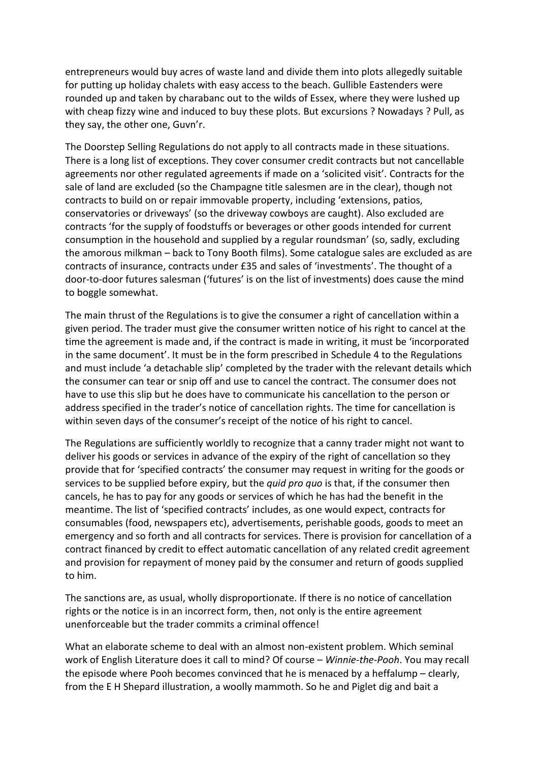entrepreneurs would buy acres of waste land and divide them into plots allegedly suitable for putting up holiday chalets with easy access to the beach. Gullible Eastenders were rounded up and taken by charabanc out to the wilds of Essex, where they were lushed up with cheap fizzy wine and induced to buy these plots. But excursions ? Nowadays ? Pull, as they say, the other one, Guvn'r.

The Doorstep Selling Regulations do not apply to all contracts made in these situations. There is a long list of exceptions. They cover consumer credit contracts but not cancellable agreements nor other regulated agreements if made on a 'solicited visit'. Contracts for the sale of land are excluded (so the Champagne title salesmen are in the clear), though not contracts to build on or repair immovable property, including 'extensions, patios, conservatories or driveways' (so the driveway cowboys are caught). Also excluded are contracts 'for the supply of foodstuffs or beverages or other goods intended for current consumption in the household and supplied by a regular roundsman' (so, sadly, excluding the amorous milkman – back to Tony Booth films). Some catalogue sales are excluded as are contracts of insurance, contracts under £35 and sales of 'investments'. The thought of a door-to-door futures salesman ('futures' is on the list of investments) does cause the mind to boggle somewhat.

The main thrust of the Regulations is to give the consumer a right of cancellation within a given period. The trader must give the consumer written notice of his right to cancel at the time the agreement is made and, if the contract is made in writing, it must be 'incorporated in the same document'. It must be in the form prescribed in Schedule 4 to the Regulations and must include 'a detachable slip' completed by the trader with the relevant details which the consumer can tear or snip off and use to cancel the contract. The consumer does not have to use this slip but he does have to communicate his cancellation to the person or address specified in the trader's notice of cancellation rights. The time for cancellation is within seven days of the consumer's receipt of the notice of his right to cancel.

The Regulations are sufficiently worldly to recognize that a canny trader might not want to deliver his goods or services in advance of the expiry of the right of cancellation so they provide that for 'specified contracts' the consumer may request in writing for the goods or services to be supplied before expiry, but the *quid pro quo* is that, if the consumer then cancels, he has to pay for any goods or services of which he has had the benefit in the meantime. The list of 'specified contracts' includes, as one would expect, contracts for consumables (food, newspapers etc), advertisements, perishable goods, goods to meet an emergency and so forth and all contracts for services. There is provision for cancellation of a contract financed by credit to effect automatic cancellation of any related credit agreement and provision for repayment of money paid by the consumer and return of goods supplied to him.

The sanctions are, as usual, wholly disproportionate. If there is no notice of cancellation rights or the notice is in an incorrect form, then, not only is the entire agreement unenforceable but the trader commits a criminal offence!

What an elaborate scheme to deal with an almost non-existent problem. Which seminal work of English Literature does it call to mind? Of course – *Winnie-the-Pooh*. You may recall the episode where Pooh becomes convinced that he is menaced by a heffalump – clearly, from the E H Shepard illustration, a woolly mammoth. So he and Piglet dig and bait a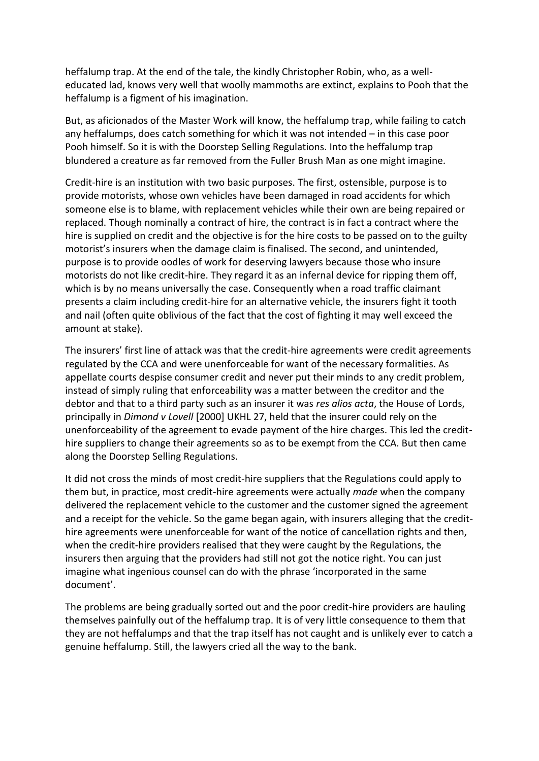heffalump trap. At the end of the tale, the kindly Christopher Robin, who, as a welleducated lad, knows very well that woolly mammoths are extinct, explains to Pooh that the heffalump is a figment of his imagination.

But, as aficionados of the Master Work will know, the heffalump trap, while failing to catch any heffalumps, does catch something for which it was not intended – in this case poor Pooh himself. So it is with the Doorstep Selling Regulations. Into the heffalump trap blundered a creature as far removed from the Fuller Brush Man as one might imagine.

Credit-hire is an institution with two basic purposes. The first, ostensible, purpose is to provide motorists, whose own vehicles have been damaged in road accidents for which someone else is to blame, with replacement vehicles while their own are being repaired or replaced. Though nominally a contract of hire, the contract is in fact a contract where the hire is supplied on credit and the objective is for the hire costs to be passed on to the guilty motorist's insurers when the damage claim is finalised. The second, and unintended, purpose is to provide oodles of work for deserving lawyers because those who insure motorists do not like credit-hire. They regard it as an infernal device for ripping them off, which is by no means universally the case. Consequently when a road traffic claimant presents a claim including credit-hire for an alternative vehicle, the insurers fight it tooth and nail (often quite oblivious of the fact that the cost of fighting it may well exceed the amount at stake).

The insurers' first line of attack was that the credit-hire agreements were credit agreements regulated by the CCA and were unenforceable for want of the necessary formalities. As appellate courts despise consumer credit and never put their minds to any credit problem, instead of simply ruling that enforceability was a matter between the creditor and the debtor and that to a third party such as an insurer it was *res alios acta*, the House of Lords, principally in *Dimond v Lovell* [2000] UKHL 27, held that the insurer could rely on the unenforceability of the agreement to evade payment of the hire charges. This led the credithire suppliers to change their agreements so as to be exempt from the CCA. But then came along the Doorstep Selling Regulations.

It did not cross the minds of most credit-hire suppliers that the Regulations could apply to them but, in practice, most credit-hire agreements were actually *made* when the company delivered the replacement vehicle to the customer and the customer signed the agreement and a receipt for the vehicle. So the game began again, with insurers alleging that the credithire agreements were unenforceable for want of the notice of cancellation rights and then, when the credit-hire providers realised that they were caught by the Regulations, the insurers then arguing that the providers had still not got the notice right. You can just imagine what ingenious counsel can do with the phrase 'incorporated in the same document'.

The problems are being gradually sorted out and the poor credit-hire providers are hauling themselves painfully out of the heffalump trap. It is of very little consequence to them that they are not heffalumps and that the trap itself has not caught and is unlikely ever to catch a genuine heffalump. Still, the lawyers cried all the way to the bank.